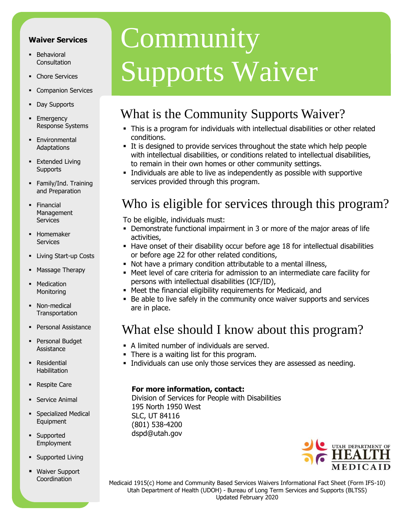#### **Waiver Services**

- **Behavioral** Consultation
- Chore Services
- Companion Services
- Day Supports
- **Emergency** Response Systems
- **Environmental Adaptations**
- **Extended Living Supports**
- Family/Ind. Training and Preparation
- **-** Financial Management **Services**
- **-** Homemaker **Services**
- **-** Living Start-up Costs
- Massage Therapy
- Medication **Monitoring**
- Non-medical **Transportation**
- **Personal Assistance**
- **Personal Budget Assistance**
- **Residential** Habilitation
- **Respite Care**
- Service Animal
- **Specialized Medical** Equipment
- **-** Supported Employment
- **Supported Living**
- Waiver Support Coordination

# **Community** Supports Waiver

## What is the Community Supports Waiver?

- This is a program for individuals with intellectual disabilities or other related conditions.
- It is designed to provide services throughout the state which help people with intellectual disabilities, or conditions related to intellectual disabilities, to remain in their own homes or other community settings.
- Individuals are able to live as independently as possible with supportive services provided through this program.

## Who is eligible for services through this program?

To be eligible, individuals must:

- Demonstrate functional impairment in 3 or more of the major areas of life activities,
- **Have onset of their disability occur before age 18 for intellectual disabilities** or before age 22 for other related conditions,
- Not have a primary condition attributable to a mental illness,
- Meet level of care criteria for admission to an intermediate care facility for persons with intellectual disabilities (ICF/ID),
- Meet the financial eligibility requirements for Medicaid, and
- Be able to live safely in the community once waiver supports and services are in place.

### What else should I know about this program?

- A limited number of individuals are served.
- There is a waiting list for this program.
- Individuals can use only those services they are assessed as needing.

#### **For more information, contact:**

Division of Services for People with Disabilities 195 North 1950 West SLC, UT 84116 (801) 538-4200 [dspd@utah.gov](mailto:dspd@utah.gov) 



 Medicaid 1915(c) Home and Community Based Services Waivers Informational Fact Sheet (Form IFS-10) Utah Department of Health (UDOH) - Bureau of Long Term Services and Supports (BLTSS) Updated February 2020